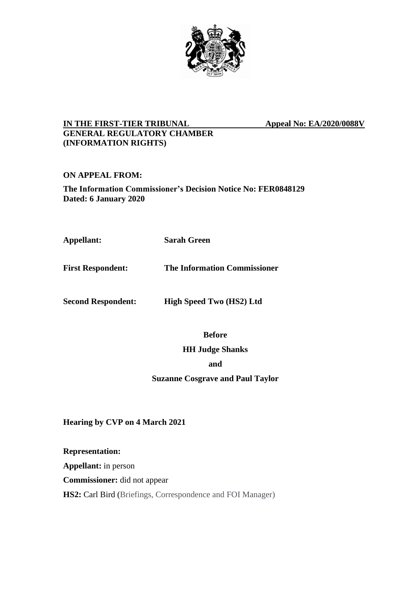

## **IN THE FIRST-TIER TRIBUNAL Appeal No: EA/2020/0088V GENERAL REGULATORY CHAMBER (INFORMATION RIGHTS)**

<span id="page-0-0"></span>

# **ON APPEAL FROM:**

**The Information Commissioner's Decision Notice No: FER0848129 Dated: 6 January 2020**

**Appellant: Sarah Green**

**First Respondent: The Information Commissioner**

**Second Respondent: High Speed Two (HS2) Ltd**

**Before**

## **HH Judge Shanks**

**and**

**Suzanne Cosgrave and Paul Taylor**

**Hearing by CVP on 4 March 2021**

**Representation:**

**Appellant:** in person

**Commissioner:** did not appear

**HS2:** Carl Bird (Briefings, Correspondence and FOI Manager)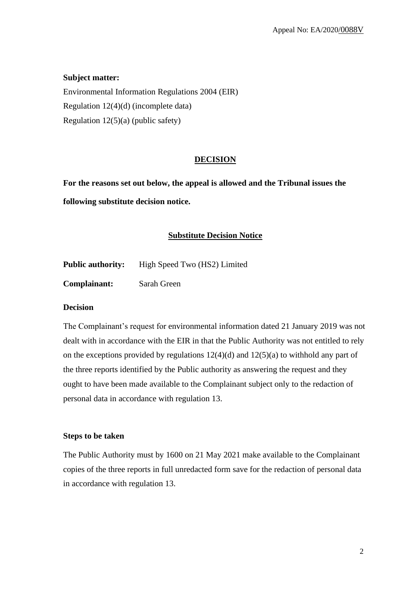## **Subject matter:**

Environmental Information Regulations 2004 (EIR) Regulation 12(4)(d) (incomplete data) Regulation  $12(5)(a)$  (public safety)

#### **DECISION**

**For the reasons set out below, the appeal is allowed and the Tribunal issues the following substitute decision notice.**

#### **Substitute Decision Notice**

| <b>Public authority:</b> | High Speed Two (HS2) Limited |
|--------------------------|------------------------------|
|                          |                              |

**Complainant:** Sarah Green

#### **Decision**

The Complainant's request for environmental information dated 21 January 2019 was not dealt with in accordance with the EIR in that the Public Authority was not entitled to rely on the exceptions provided by regulations  $12(4)(d)$  and  $12(5)(a)$  to withhold any part of the three reports identified by the Public authority as answering the request and they ought to have been made available to the Complainant subject only to the redaction of personal data in accordance with regulation 13.

#### **Steps to be taken**

The Public Authority must by 1600 on 21 May 2021 make available to the Complainant copies of the three reports in full unredacted form save for the redaction of personal data in accordance with regulation 13.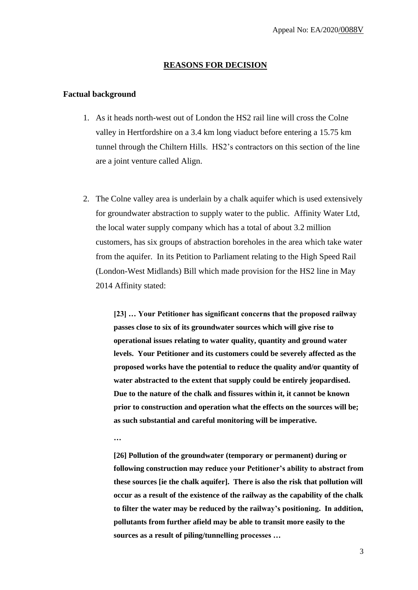#### **REASONS FOR DECISION**

#### **Factual background**

- 1. As it heads north-west out of London the HS2 rail line will cross the Colne valley in Hertfordshire on a 3.4 km long viaduct before entering a 15.75 km tunnel through the Chiltern Hills. HS2's contractors on this section of the line are a joint venture called Align.
- 2. The Colne valley area is underlain by a chalk aquifer which is used extensively for groundwater abstraction to supply water to the public. Affinity Water Ltd, the local water supply company which has a total of about 3.2 million customers, has six groups of abstraction boreholes in the area which take water from the aquifer. In its Petition to Parliament relating to the High Speed Rail (London-West Midlands) Bill which made provision for the HS2 line in May 2014 Affinity stated:

**[23] … Your Petitioner has significant concerns that the proposed railway passes close to six of its groundwater sources which will give rise to operational issues relating to water quality, quantity and ground water levels. Your Petitioner and its customers could be severely affected as the proposed works have the potential to reduce the quality and/or quantity of water abstracted to the extent that supply could be entirely jeopardised. Due to the nature of the chalk and fissures within it, it cannot be known prior to construction and operation what the effects on the sources will be; as such substantial and careful monitoring will be imperative.**

**…**

**[26] Pollution of the groundwater (temporary or permanent) during or following construction may reduce your Petitioner's ability to abstract from these sources [ie the chalk aquifer]. There is also the risk that pollution will occur as a result of the existence of the railway as the capability of the chalk to filter the water may be reduced by the railway's positioning. In addition, pollutants from further afield may be able to transit more easily to the sources as a result of piling/tunnelling processes …**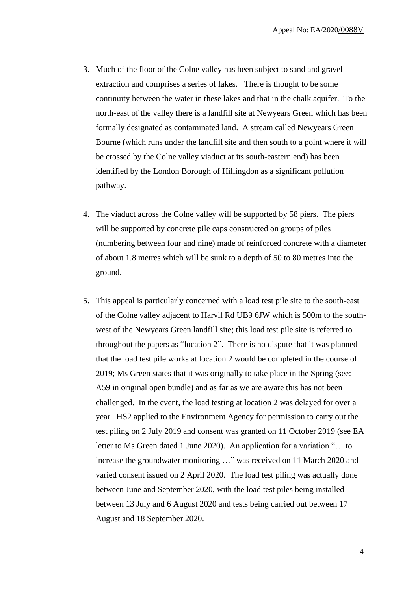- 3. Much of the floor of the Colne valley has been subject to sand and gravel extraction and comprises a series of lakes. There is thought to be some continuity between the water in these lakes and that in the chalk aquifer. To the north-east of the valley there is a landfill site at Newyears Green which has been formally designated as contaminated land. A stream called Newyears Green Bourne (which runs under the landfill site and then south to a point where it will be crossed by the Colne valley viaduct at its south-eastern end) has been identified by the London Borough of Hillingdon as a significant pollution pathway.
- 4. The viaduct across the Colne valley will be supported by 58 piers. The piers will be supported by concrete pile caps constructed on groups of piles (numbering between four and nine) made of reinforced concrete with a diameter of about 1.8 metres which will be sunk to a depth of 50 to 80 metres into the ground.
- 5. This appeal is particularly concerned with a load test pile site to the south-east of the Colne valley adjacent to Harvil Rd UB9 6JW which is 500m to the southwest of the Newyears Green landfill site; this load test pile site is referred to throughout the papers as "location 2". There is no dispute that it was planned that the load test pile works at location 2 would be completed in the course of 2019; Ms Green states that it was originally to take place in the Spring (see: A59 in original open bundle) and as far as we are aware this has not been challenged. In the event, the load testing at location 2 was delayed for over a year. HS2 applied to the Environment Agency for permission to carry out the test piling on 2 July 2019 and consent was granted on 11 October 2019 (see EA letter to Ms Green dated 1 June 2020). An application for a variation "… to increase the groundwater monitoring …" was received on 11 March 2020 and varied consent issued on 2 April 2020. The load test piling was actually done between June and September 2020, with the load test piles being installed between 13 July and 6 August 2020 and tests being carried out between 17 August and 18 September 2020.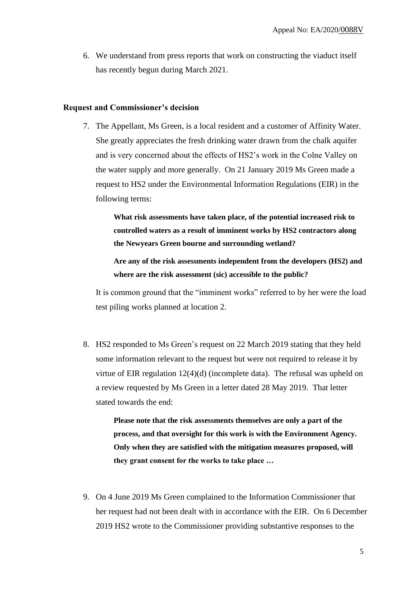6. We understand from press reports that work on constructing the viaduct itself has recently begun during March 2021.

#### **Request and Commissioner's decision**

7. The Appellant, Ms Green, is a local resident and a customer of Affinity Water. She greatly appreciates the fresh drinking water drawn from the chalk aquifer and is very concerned about the effects of HS2's work in the Colne Valley on the water supply and more generally. On 21 January 2019 Ms Green made a request to HS2 under the Environmental Information Regulations (EIR) in the following terms:

> **What risk assessments have taken place, of the potential increased risk to controlled waters as a result of imminent works by HS2 contractors along the Newyears Green bourne and surrounding wetland?**

**Are any of the risk assessments independent from the developers (HS2) and where are the risk assessment (sic) accessible to the public?**

It is common ground that the "imminent works" referred to by her were the load test piling works planned at location 2.

8. HS2 responded to Ms Green's request on 22 March 2019 stating that they held some information relevant to the request but were not required to release it by virtue of EIR regulation 12(4)(d) (incomplete data). The refusal was upheld on a review requested by Ms Green in a letter dated 28 May 2019. That letter stated towards the end:

> **Please note that the risk assessments themselves are only a part of the process, and that oversight for this work is with the Environment Agency. Only when they are satisfied with the mitigation measures proposed, will they grant consent for the works to take place …**

9. On 4 June 2019 Ms Green complained to the Information Commissioner that her request had not been dealt with in accordance with the EIR. On 6 December 2019 HS2 wrote to the Commissioner providing substantive responses to the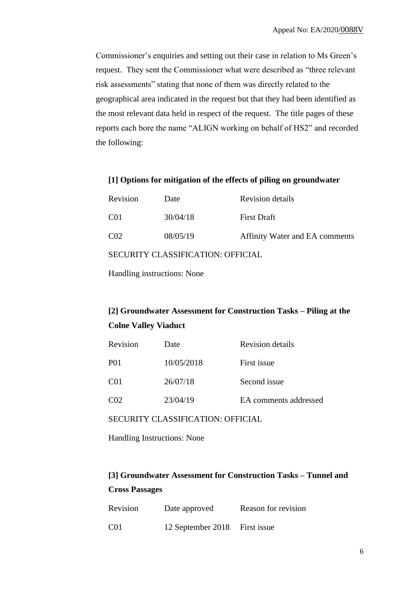Commissioner's enquiries and setting out their case in relation to Ms Green's request. They sent the Commissioner what were described as "three relevant risk assessments" stating that none of them was directly related to the geographical area indicated in the request but that they had been identified as the most relevant data held in respect of the request. The title pages of these reports each bore the name "ALIGN working on behalf of HS2" and recorded the following:

#### **[1] Options for mitigation of the effects of piling on groundwater**

| Revision                          | Date     | Revision details               |  |  |
|-----------------------------------|----------|--------------------------------|--|--|
| C <sub>01</sub>                   | 30/04/18 | <b>First Draft</b>             |  |  |
| C <sub>02</sub>                   | 08/05/19 | Affinity Water and EA comments |  |  |
| SECURITY CLASSIFICATION: OFFICIAL |          |                                |  |  |

Handling instructions: None

# **[2] Groundwater Assessment for Construction Tasks – Piling at the Colne Valley Viaduct**

| Revision        | Date       | <b>Revision details</b> |
|-----------------|------------|-------------------------|
| P01             | 10/05/2018 | First issue             |
| C <sub>01</sub> | 26/07/18   | Second issue            |
| CO <sub>2</sub> | 23/04/19   | EA comments addressed   |

SECURITY CLASSIFICATION: OFFICIAL

Handling Instructions: None

# **[3] Groundwater Assessment for Construction Tasks – Tunnel and Cross Passages**

| Revision | Date approved                 | Reason for revision |
|----------|-------------------------------|---------------------|
| C01      | 12 September 2018 First issue |                     |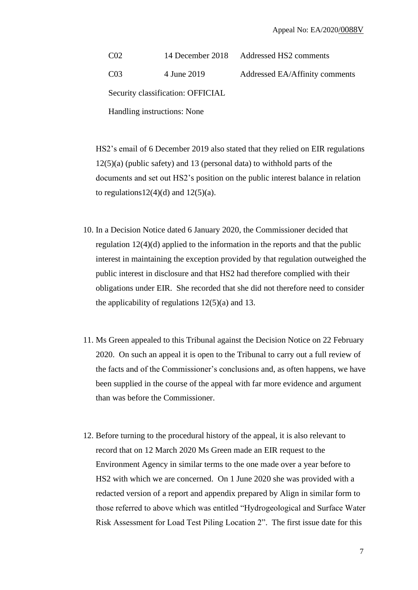C02 14 December 2018 Addressed HS2 comments C03 4 June 2019 Addressed EA/Affinity comments Security classification: OFFICIAL Handling instructions: None

HS2's email of 6 December 2019 also stated that they relied on EIR regulations 12(5)(a) (public safety) and 13 (personal data) to withhold parts of the documents and set out HS2's position on the public interest balance in relation to regulations  $12(4)(d)$  and  $12(5)(a)$ .

- 10. In a Decision Notice dated 6 January 2020, the Commissioner decided that regulation 12(4)(d) applied to the information in the reports and that the public interest in maintaining the exception provided by that regulation outweighed the public interest in disclosure and that HS2 had therefore complied with their obligations under EIR. She recorded that she did not therefore need to consider the applicability of regulations  $12(5)(a)$  and 13.
- 11. Ms Green appealed to this Tribunal against the Decision Notice on 22 February 2020. On such an appeal it is open to the Tribunal to carry out a full review of the facts and of the Commissioner's conclusions and, as often happens, we have been supplied in the course of the appeal with far more evidence and argument than was before the Commissioner.
- 12. Before turning to the procedural history of the appeal, it is also relevant to record that on 12 March 2020 Ms Green made an EIR request to the Environment Agency in similar terms to the one made over a year before to HS2 with which we are concerned. On 1 June 2020 she was provided with a redacted version of a report and appendix prepared by Align in similar form to those referred to above which was entitled "Hydrogeological and Surface Water Risk Assessment for Load Test Piling Location 2". The first issue date for this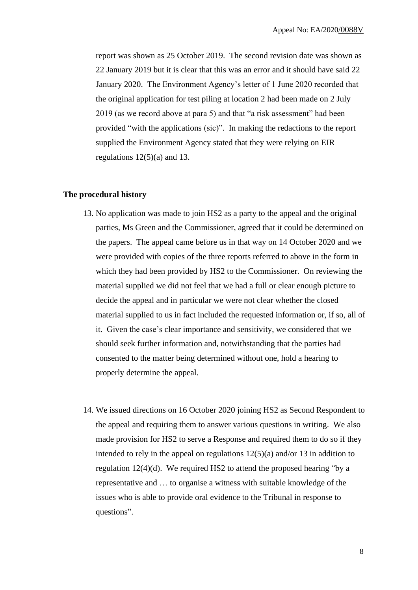report was shown as 25 October 2019. The second revision date was shown as 22 January 2019 but it is clear that this was an error and it should have said 22 January 2020. The Environment Agency's letter of 1 June 2020 recorded that the original application for test piling at location 2 had been made on 2 July 2019 (as we record above at para 5) and that "a risk assessment" had been provided "with the applications (sic)". In making the redactions to the report supplied the Environment Agency stated that they were relying on EIR regulations  $12(5)(a)$  and 13.

#### **The procedural history**

- 13. No application was made to join HS2 as a party to the appeal and the original parties, Ms Green and the Commissioner, agreed that it could be determined on the papers. The appeal came before us in that way on 14 October 2020 and we were provided with copies of the three reports referred to above in the form in which they had been provided by HS2 to the Commissioner. On reviewing the material supplied we did not feel that we had a full or clear enough picture to decide the appeal and in particular we were not clear whether the closed material supplied to us in fact included the requested information or, if so, all of it. Given the case's clear importance and sensitivity, we considered that we should seek further information and, notwithstanding that the parties had consented to the matter being determined without one, hold a hearing to properly determine the appeal.
- 14. We issued directions on 16 October 2020 joining HS2 as Second Respondent to the appeal and requiring them to answer various questions in writing. We also made provision for HS2 to serve a Response and required them to do so if they intended to rely in the appeal on regulations 12(5)(a) and/or 13 in addition to regulation  $12(4)(d)$ . We required HS2 to attend the proposed hearing "by a representative and … to organise a witness with suitable knowledge of the issues who is able to provide oral evidence to the Tribunal in response to questions".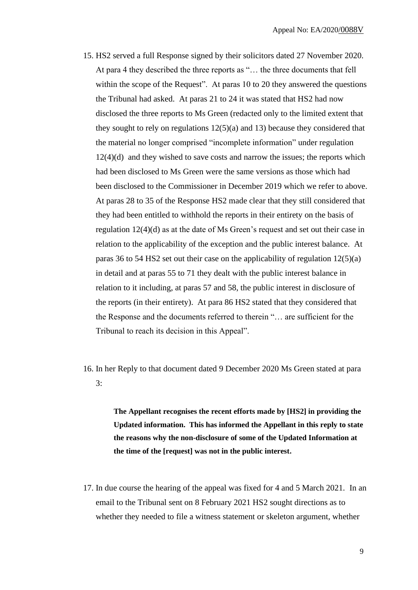- 15. HS2 served a full Response signed by their solicitors dated 27 November 2020. At para 4 they described the three reports as "… the three documents that fell within the scope of the Request". At paras 10 to 20 they answered the questions the Tribunal had asked. At paras 21 to 24 it was stated that HS2 had now disclosed the three reports to Ms Green (redacted only to the limited extent that they sought to rely on regulations  $12(5)(a)$  and 13) because they considered that the material no longer comprised "incomplete information" under regulation 12(4)(d) and they wished to save costs and narrow the issues; the reports which had been disclosed to Ms Green were the same versions as those which had been disclosed to the Commissioner in December 2019 which we refer to above. At paras 28 to 35 of the Response HS2 made clear that they still considered that they had been entitled to withhold the reports in their entirety on the basis of regulation 12(4)(d) as at the date of Ms Green's request and set out their case in relation to the applicability of the exception and the public interest balance. At paras 36 to 54 HS2 set out their case on the applicability of regulation 12(5)(a) in detail and at paras 55 to 71 they dealt with the public interest balance in relation to it including, at paras 57 and 58, the public interest in disclosure of the reports (in their entirety). At para 86 HS2 stated that they considered that the Response and the documents referred to therein "… are sufficient for the Tribunal to reach its decision in this Appeal".
- 16. In her Reply to that document dated 9 December 2020 Ms Green stated at para 3:

**The Appellant recognises the recent efforts made by [HS2] in providing the Updated information. This has informed the Appellant in this reply to state the reasons why the non-disclosure of some of the Updated Information at the time of the [request] was not in the public interest.**

17. In due course the hearing of the appeal was fixed for 4 and 5 March 2021. In an email to the Tribunal sent on 8 February 2021 HS2 sought directions as to whether they needed to file a witness statement or skeleton argument, whether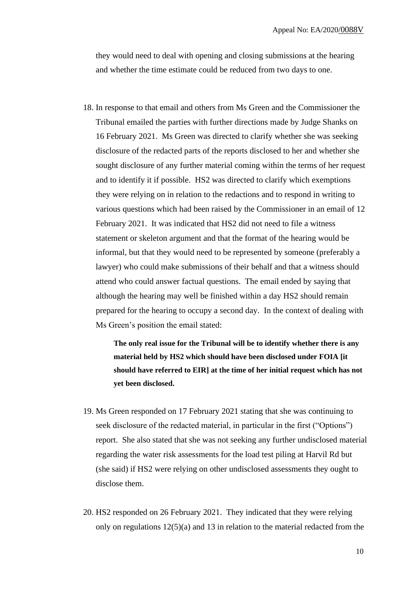they would need to deal with opening and closing submissions at the hearing and whether the time estimate could be reduced from two days to one.

18. In response to that email and others from Ms Green and the Commissioner the Tribunal emailed the parties with further directions made by Judge Shanks on 16 February 2021. Ms Green was directed to clarify whether she was seeking disclosure of the redacted parts of the reports disclosed to her and whether she sought disclosure of any further material coming within the terms of her request and to identify it if possible. HS2 was directed to clarify which exemptions they were relying on in relation to the redactions and to respond in writing to various questions which had been raised by the Commissioner in an email of 12 February 2021. It was indicated that HS2 did not need to file a witness statement or skeleton argument and that the format of the hearing would be informal, but that they would need to be represented by someone (preferably a lawyer) who could make submissions of their behalf and that a witness should attend who could answer factual questions. The email ended by saying that although the hearing may well be finished within a day HS2 should remain prepared for the hearing to occupy a second day. In the context of dealing with Ms Green's position the email stated:

> **The only real issue for the Tribunal will be to identify whether there is any material held by HS2 which should have been disclosed under FOIA [it should have referred to EIR] at the time of her initial request which has not yet been disclosed.**

- 19. Ms Green responded on 17 February 2021 stating that she was continuing to seek disclosure of the redacted material, in particular in the first ("Options") report. She also stated that she was not seeking any further undisclosed material regarding the water risk assessments for the load test piling at Harvil Rd but (she said) if HS2 were relying on other undisclosed assessments they ought to disclose them.
- 20. HS2 responded on 26 February 2021. They indicated that they were relying only on regulations  $12(5)(a)$  and 13 in relation to the material redacted from the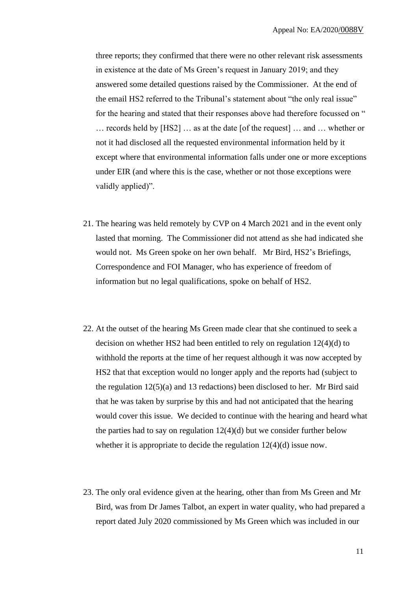three reports; they confirmed that there were no other relevant risk assessments in existence at the date of Ms Green's request in January 2019; and they answered some detailed questions raised by the Commissioner. At the end of the email HS2 referred to the Tribunal's statement about "the only real issue" for the hearing and stated that their responses above had therefore focussed on " … records held by [HS2] … as at the date [of the request] … and … whether or not it had disclosed all the requested environmental information held by it except where that environmental information falls under one or more exceptions under EIR (and where this is the case, whether or not those exceptions were validly applied)".

- 21. The hearing was held remotely by CVP on 4 March 2021 and in the event only lasted that morning. The Commissioner did not attend as she had indicated she would not. Ms Green spoke on her own behalf. Mr Bird, HS2's Briefings, Correspondence and FOI Manager, who has experience of freedom of information but no legal qualifications, spoke on behalf of HS2.
- 22. At the outset of the hearing Ms Green made clear that she continued to seek a decision on whether HS2 had been entitled to rely on regulation 12(4)(d) to withhold the reports at the time of her request although it was now accepted by HS2 that that exception would no longer apply and the reports had (subject to the regulation 12(5)(a) and 13 redactions) been disclosed to her. Mr Bird said that he was taken by surprise by this and had not anticipated that the hearing would cover this issue. We decided to continue with the hearing and heard what the parties had to say on regulation  $12(4)(d)$  but we consider further below whether it is appropriate to decide the regulation  $12(4)(d)$  issue now.
- 23. The only oral evidence given at the hearing, other than from Ms Green and Mr Bird, was from Dr James Talbot, an expert in water quality, who had prepared a report dated July 2020 commissioned by Ms Green which was included in our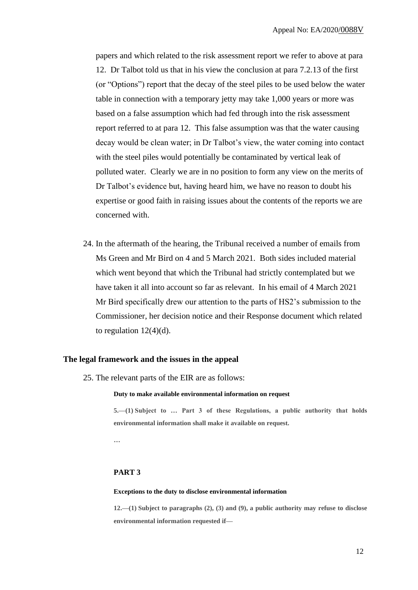papers and which related to the risk assessment report we refer to above at para 12. Dr Talbot told us that in his view the conclusion at para 7.2.13 of the first (or "Options") report that the decay of the steel piles to be used below the water table in connection with a temporary jetty may take 1,000 years or more was based on a false assumption which had fed through into the risk assessment report referred to at para 12. This false assumption was that the water causing decay would be clean water; in Dr Talbot's view, the water coming into contact with the steel piles would potentially be contaminated by vertical leak of polluted water. Clearly we are in no position to form any view on the merits of Dr Talbot's evidence but, having heard him, we have no reason to doubt his expertise or good faith in raising issues about the contents of the reports we are concerned with.

24. In the aftermath of the hearing, the Tribunal received a number of emails from Ms Green and Mr Bird on 4 and 5 March 2021. Both sides included material which went beyond that which the Tribunal had strictly contemplated but we have taken it all into account so far as relevant. In his email of 4 March 2021 Mr Bird specifically drew our attention to the parts of HS2's submission to the Commissioner, her decision notice and their Response document which related to regulation  $12(4)(d)$ .

#### **The legal framework and the issues in the appeal**

25. The relevant parts of the EIR are as follows:

#### **Duty to make available environmental information on request**

**5.—(1) Subject to … Part 3 of these Regulations, a public authority that holds environmental information shall make it available on request.**

**…**

#### **PART 3**

#### **Exceptions to the duty to disclose environmental information**

**12.—(1) Subject to paragraphs (2), (3) and (9), a public authority may refuse to disclose environmental information requested if—**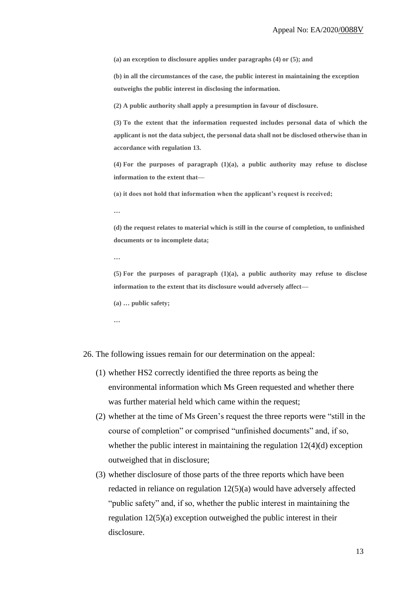**(a) an exception to disclosure applies under paragraphs (4) or (5); and**

**(b) in all the circumstances of the case, the public interest in maintaining the exception outweighs the public interest in disclosing the information.**

**(2) A public authority shall apply a presumption in favour of disclosure.**

**(3) To the extent that the information requested includes personal data of which the applicant is not the data subject, the personal data shall not be disclosed otherwise than in accordance with regulation 13.**

**(4) For the purposes of paragraph (1)(a), a public authority may refuse to disclose information to the extent that—**

**(a) it does not hold that information when the applicant's request is received;** 

**…**

**(d) the request relates to material which is still in the course of completion, to unfinished documents or to incomplete data;**

**…**

**(5) For the purposes of paragraph (1)(a), a public authority may refuse to disclose information to the extent that its disclosure would adversely affect—**

**(a) … public safety;**

**…**

26. The following issues remain for our determination on the appeal:

- (1) whether HS2 correctly identified the three reports as being the environmental information which Ms Green requested and whether there was further material held which came within the request;
- (2) whether at the time of Ms Green's request the three reports were "still in the course of completion" or comprised "unfinished documents" and, if so, whether the public interest in maintaining the regulation  $12(4)(d)$  exception outweighed that in disclosure;
- (3) whether disclosure of those parts of the three reports which have been redacted in reliance on regulation 12(5)(a) would have adversely affected "public safety" and, if so, whether the public interest in maintaining the regulation 12(5)(a) exception outweighed the public interest in their disclosure.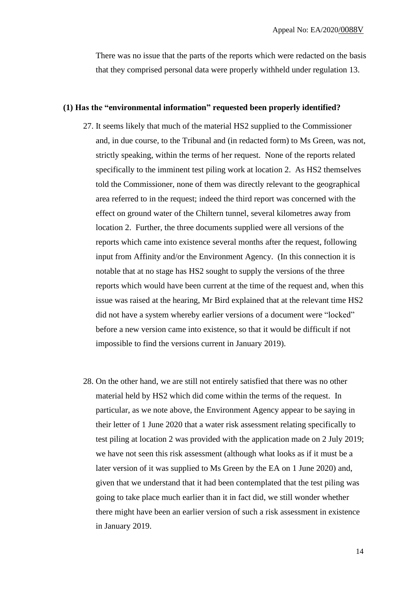There was no issue that the parts of the reports which were redacted on the basis that they comprised personal data were properly withheld under regulation 13.

#### **(1) Has the "environmental information" requested been properly identified?**

- 27. It seems likely that much of the material HS2 supplied to the Commissioner and, in due course, to the Tribunal and (in redacted form) to Ms Green, was not, strictly speaking, within the terms of her request. None of the reports related specifically to the imminent test piling work at location 2. As HS2 themselves told the Commissioner, none of them was directly relevant to the geographical area referred to in the request; indeed the third report was concerned with the effect on ground water of the Chiltern tunnel, several kilometres away from location 2. Further, the three documents supplied were all versions of the reports which came into existence several months after the request, following input from Affinity and/or the Environment Agency. (In this connection it is notable that at no stage has HS2 sought to supply the versions of the three reports which would have been current at the time of the request and, when this issue was raised at the hearing, Mr Bird explained that at the relevant time HS2 did not have a system whereby earlier versions of a document were "locked" before a new version came into existence, so that it would be difficult if not impossible to find the versions current in January 2019).
- 28. On the other hand, we are still not entirely satisfied that there was no other material held by HS2 which did come within the terms of the request. In particular, as we note above, the Environment Agency appear to be saying in their letter of 1 June 2020 that a water risk assessment relating specifically to test piling at location 2 was provided with the application made on 2 July 2019; we have not seen this risk assessment (although what looks as if it must be a later version of it was supplied to Ms Green by the EA on 1 June 2020) and, given that we understand that it had been contemplated that the test piling was going to take place much earlier than it in fact did, we still wonder whether there might have been an earlier version of such a risk assessment in existence in January 2019.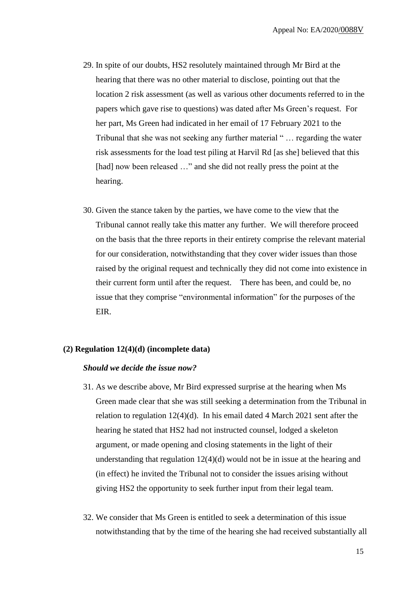- 29. In spite of our doubts, HS2 resolutely maintained through Mr Bird at the hearing that there was no other material to disclose, pointing out that the location 2 risk assessment (as well as various other documents referred to in the papers which gave rise to questions) was dated after Ms Green's request. For her part, Ms Green had indicated in her email of 17 February 2021 to the Tribunal that she was not seeking any further material " … regarding the water risk assessments for the load test piling at Harvil Rd [as she] believed that this [had] now been released ..." and she did not really press the point at the hearing.
- 30. Given the stance taken by the parties, we have come to the view that the Tribunal cannot really take this matter any further. We will therefore proceed on the basis that the three reports in their entirety comprise the relevant material for our consideration, notwithstanding that they cover wider issues than those raised by the original request and technically they did not come into existence in their current form until after the request. There has been, and could be, no issue that they comprise "environmental information" for the purposes of the EIR.

#### **(2) Regulation 12(4)(d) (incomplete data)**

#### *Should we decide the issue now?*

- 31. As we describe above, Mr Bird expressed surprise at the hearing when Ms Green made clear that she was still seeking a determination from the Tribunal in relation to regulation 12(4)(d). In his email dated 4 March 2021 sent after the hearing he stated that HS2 had not instructed counsel, lodged a skeleton argument, or made opening and closing statements in the light of their understanding that regulation 12(4)(d) would not be in issue at the hearing and (in effect) he invited the Tribunal not to consider the issues arising without giving HS2 the opportunity to seek further input from their legal team.
- 32. We consider that Ms Green is entitled to seek a determination of this issue notwithstanding that by the time of the hearing she had received substantially all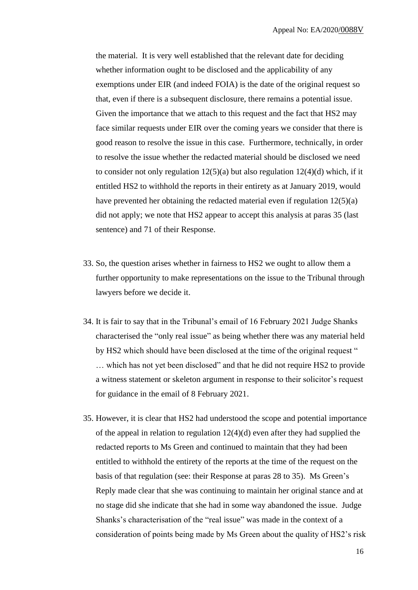the material. It is very well established that the relevant date for deciding whether information ought to be disclosed and the applicability of any exemptions under EIR (and indeed FOIA) is the date of the original request so that, even if there is a subsequent disclosure, there remains a potential issue. Given the importance that we attach to this request and the fact that HS2 may face similar requests under EIR over the coming years we consider that there is good reason to resolve the issue in this case. Furthermore, technically, in order to resolve the issue whether the redacted material should be disclosed we need to consider not only regulation  $12(5)(a)$  but also regulation  $12(4)(d)$  which, if it entitled HS2 to withhold the reports in their entirety as at January 2019, would have prevented her obtaining the redacted material even if regulation 12(5)(a) did not apply; we note that HS2 appear to accept this analysis at paras 35 (last sentence) and 71 of their Response.

- 33. So, the question arises whether in fairness to HS2 we ought to allow them a further opportunity to make representations on the issue to the Tribunal through lawyers before we decide it.
- 34. It is fair to say that in the Tribunal's email of 16 February 2021 Judge Shanks characterised the "only real issue" as being whether there was any material held by HS2 which should have been disclosed at the time of the original request " … which has not yet been disclosed" and that he did not require HS2 to provide a witness statement or skeleton argument in response to their solicitor's request for guidance in the email of 8 February 2021.
- 35. However, it is clear that HS2 had understood the scope and potential importance of the appeal in relation to regulation 12(4)(d) even after they had supplied the redacted reports to Ms Green and continued to maintain that they had been entitled to withhold the entirety of the reports at the time of the request on the basis of that regulation (see: their Response at paras 28 to 35). Ms Green's Reply made clear that she was continuing to maintain her original stance and at no stage did she indicate that she had in some way abandoned the issue. Judge Shanks's characterisation of the "real issue" was made in the context of a consideration of points being made by Ms Green about the quality of HS2's risk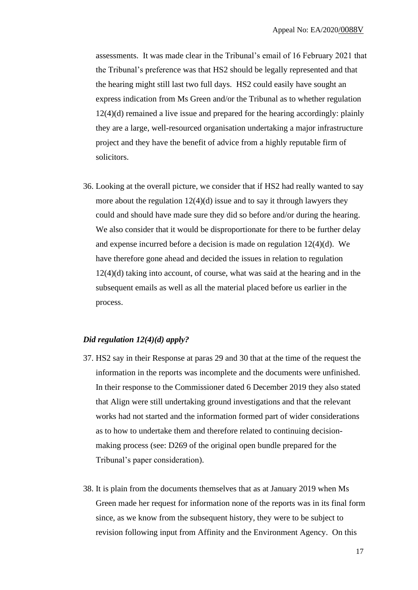assessments. It was made clear in the Tribunal's email of 16 February 2021 that the Tribunal's preference was that HS2 should be legally represented and that the hearing might still last two full days. HS2 could easily have sought an express indication from Ms Green and/or the Tribunal as to whether regulation 12(4)(d) remained a live issue and prepared for the hearing accordingly: plainly they are a large, well-resourced organisation undertaking a major infrastructure project and they have the benefit of advice from a highly reputable firm of solicitors.

36. Looking at the overall picture, we consider that if HS2 had really wanted to say more about the regulation  $12(4)(d)$  issue and to say it through lawyers they could and should have made sure they did so before and/or during the hearing. We also consider that it would be disproportionate for there to be further delay and expense incurred before a decision is made on regulation 12(4)(d). We have therefore gone ahead and decided the issues in relation to regulation 12(4)(d) taking into account, of course, what was said at the hearing and in the subsequent emails as well as all the material placed before us earlier in the process.

## *Did regulation 12(4)(d) apply?*

- 37. HS2 say in their Response at paras 29 and 30 that at the time of the request the information in the reports was incomplete and the documents were unfinished. In their response to the Commissioner dated 6 December 2019 they also stated that Align were still undertaking ground investigations and that the relevant works had not started and the information formed part of wider considerations as to how to undertake them and therefore related to continuing decisionmaking process (see: D269 of the original open bundle prepared for the Tribunal's paper consideration).
- 38. It is plain from the documents themselves that as at January 2019 when Ms Green made her request for information none of the reports was in its final form since, as we know from the subsequent history, they were to be subject to revision following input from Affinity and the Environment Agency. On this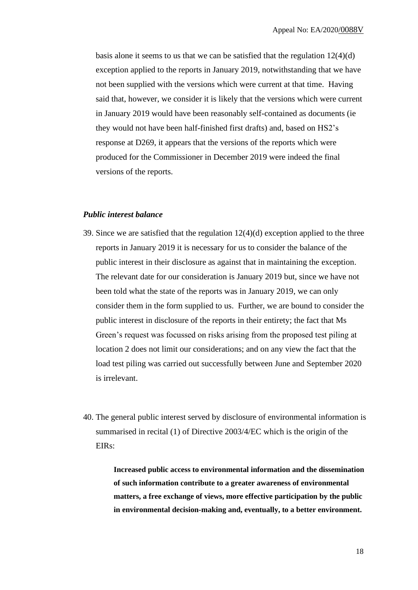basis alone it seems to us that we can be satisfied that the regulation 12(4)(d) exception applied to the reports in January 2019, notwithstanding that we have not been supplied with the versions which were current at that time. Having said that, however, we consider it is likely that the versions which were current in January 2019 would have been reasonably self-contained as documents (ie they would not have been half-finished first drafts) and, based on HS2's response at D269, it appears that the versions of the reports which were produced for the Commissioner in December 2019 were indeed the final versions of the reports.

## *Public interest balance*

- 39. Since we are satisfied that the regulation 12(4)(d) exception applied to the three reports in January 2019 it is necessary for us to consider the balance of the public interest in their disclosure as against that in maintaining the exception. The relevant date for our consideration is January 2019 but, since we have not been told what the state of the reports was in January 2019, we can only consider them in the form supplied to us. Further, we are bound to consider the public interest in disclosure of the reports in their entirety; the fact that Ms Green's request was focussed on risks arising from the proposed test piling at location 2 does not limit our considerations; and on any view the fact that the load test piling was carried out successfully between June and September 2020 is irrelevant.
- 40. The general public interest served by disclosure of environmental information is summarised in recital (1) of Directive 2003/4/EC which is the origin of the EIRs:

**Increased public access to environmental information and the dissemination of such information contribute to a greater awareness of environmental matters, a free exchange of views, more effective participation by the public in environmental decision-making and, eventually, to a better environment.**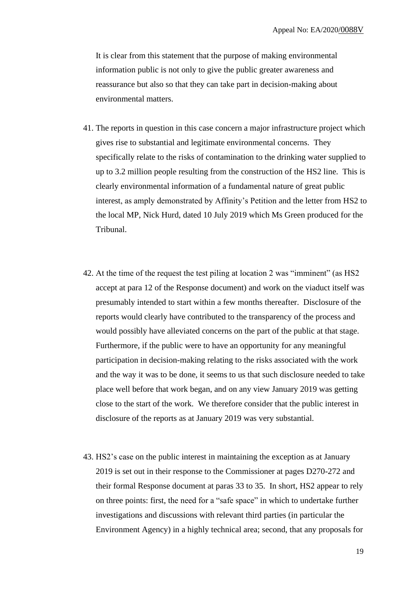It is clear from this statement that the purpose of making environmental information public is not only to give the public greater awareness and reassurance but also so that they can take part in decision-making about environmental matters.

- 41. The reports in question in this case concern a major infrastructure project which gives rise to substantial and legitimate environmental concerns. They specifically relate to the risks of contamination to the drinking water supplied to up to 3.2 million people resulting from the construction of the HS2 line. This is clearly environmental information of a fundamental nature of great public interest, as amply demonstrated by Affinity's Petition and the letter from HS2 to the local MP, Nick Hurd, dated 10 July 2019 which Ms Green produced for the Tribunal.
- 42. At the time of the request the test piling at location 2 was "imminent" (as HS2 accept at para 12 of the Response document) and work on the viaduct itself was presumably intended to start within a few months thereafter. Disclosure of the reports would clearly have contributed to the transparency of the process and would possibly have alleviated concerns on the part of the public at that stage. Furthermore, if the public were to have an opportunity for any meaningful participation in decision-making relating to the risks associated with the work and the way it was to be done, it seems to us that such disclosure needed to take place well before that work began, and on any view January 2019 was getting close to the start of the work. We therefore consider that the public interest in disclosure of the reports as at January 2019 was very substantial.
- 43. HS2's case on the public interest in maintaining the exception as at January 2019 is set out in their response to the Commissioner at pages D270-272 and their formal Response document at paras 33 to 35. In short, HS2 appear to rely on three points: first, the need for a "safe space" in which to undertake further investigations and discussions with relevant third parties (in particular the Environment Agency) in a highly technical area; second, that any proposals for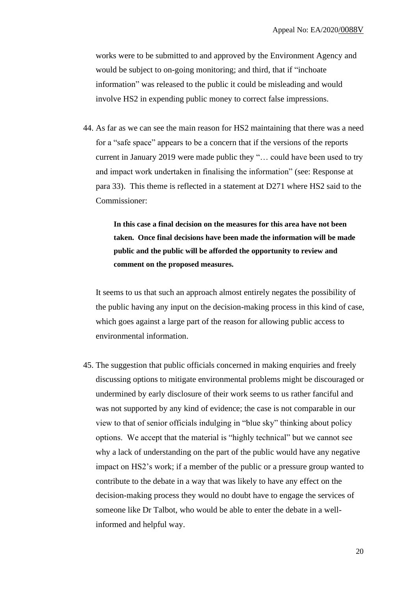works were to be submitted to and approved by the Environment Agency and would be subject to on-going monitoring; and third, that if "inchoate information" was released to the public it could be misleading and would involve HS2 in expending public money to correct false impressions.

44. As far as we can see the main reason for HS2 maintaining that there was a need for a "safe space" appears to be a concern that if the versions of the reports current in January 2019 were made public they "… could have been used to try and impact work undertaken in finalising the information" (see: Response at para 33). This theme is reflected in a statement at D271 where HS2 said to the Commissioner:

> **In this case a final decision on the measures for this area have not been taken. Once final decisions have been made the information will be made public and the public will be afforded the opportunity to review and comment on the proposed measures.**

It seems to us that such an approach almost entirely negates the possibility of the public having any input on the decision-making process in this kind of case, which goes against a large part of the reason for allowing public access to environmental information.

45. The suggestion that public officials concerned in making enquiries and freely discussing options to mitigate environmental problems might be discouraged or undermined by early disclosure of their work seems to us rather fanciful and was not supported by any kind of evidence; the case is not comparable in our view to that of senior officials indulging in "blue sky" thinking about policy options. We accept that the material is "highly technical" but we cannot see why a lack of understanding on the part of the public would have any negative impact on HS2's work; if a member of the public or a pressure group wanted to contribute to the debate in a way that was likely to have any effect on the decision-making process they would no doubt have to engage the services of someone like Dr Talbot, who would be able to enter the debate in a wellinformed and helpful way.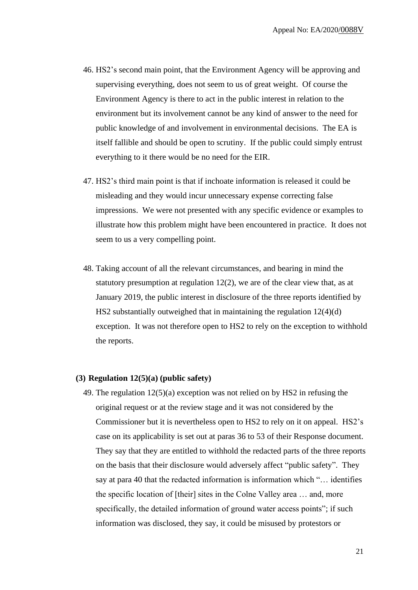- 46. HS2's second main point, that the Environment Agency will be approving and supervising everything, does not seem to us of great weight. Of course the Environment Agency is there to act in the public interest in relation to the environment but its involvement cannot be any kind of answer to the need for public knowledge of and involvement in environmental decisions. The EA is itself fallible and should be open to scrutiny. If the public could simply entrust everything to it there would be no need for the EIR.
- 47. HS2's third main point is that if inchoate information is released it could be misleading and they would incur unnecessary expense correcting false impressions. We were not presented with any specific evidence or examples to illustrate how this problem might have been encountered in practice. It does not seem to us a very compelling point.
- 48. Taking account of all the relevant circumstances, and bearing in mind the statutory presumption at regulation 12(2), we are of the clear view that, as at January 2019, the public interest in disclosure of the three reports identified by HS2 substantially outweighed that in maintaining the regulation 12(4)(d) exception. It was not therefore open to HS2 to rely on the exception to withhold the reports.

#### **(3) Regulation 12(5)(a) (public safety)**

49. The regulation 12(5)(a) exception was not relied on by HS2 in refusing the original request or at the review stage and it was not considered by the Commissioner but it is nevertheless open to HS2 to rely on it on appeal. HS2's case on its applicability is set out at paras 36 to 53 of their Response document. They say that they are entitled to withhold the redacted parts of the three reports on the basis that their disclosure would adversely affect "public safety". They say at para 40 that the redacted information is information which "… identifies the specific location of [their] sites in the Colne Valley area … and, more specifically, the detailed information of ground water access points"; if such information was disclosed, they say, it could be misused by protestors or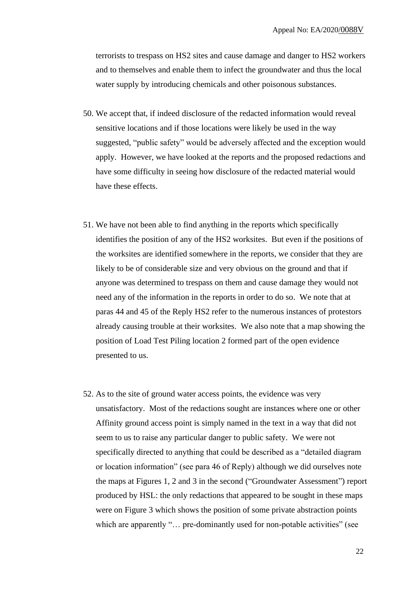terrorists to trespass on HS2 sites and cause damage and danger to HS2 workers and to themselves and enable them to infect the groundwater and thus the local water supply by introducing chemicals and other poisonous substances.

- 50. We accept that, if indeed disclosure of the redacted information would reveal sensitive locations and if those locations were likely be used in the way suggested, "public safety" would be adversely affected and the exception would apply. However, we have looked at the reports and the proposed redactions and have some difficulty in seeing how disclosure of the redacted material would have these effects.
- 51. We have not been able to find anything in the reports which specifically identifies the position of any of the HS2 worksites. But even if the positions of the worksites are identified somewhere in the reports, we consider that they are likely to be of considerable size and very obvious on the ground and that if anyone was determined to trespass on them and cause damage they would not need any of the information in the reports in order to do so. We note that at paras 44 and 45 of the Reply HS2 refer to the numerous instances of protestors already causing trouble at their worksites. We also note that a map showing the position of Load Test Piling location 2 formed part of the open evidence presented to us.
- 52. As to the site of ground water access points, the evidence was very unsatisfactory. Most of the redactions sought are instances where one or other Affinity ground access point is simply named in the text in a way that did not seem to us to raise any particular danger to public safety. We were not specifically directed to anything that could be described as a "detailed diagram or location information" (see para 46 of Reply) although we did ourselves note the maps at Figures 1, 2 and 3 in the second ("Groundwater Assessment") report produced by HSL: the only redactions that appeared to be sought in these maps were on Figure 3 which shows the position of some private abstraction points which are apparently "... pre-dominantly used for non-potable activities" (see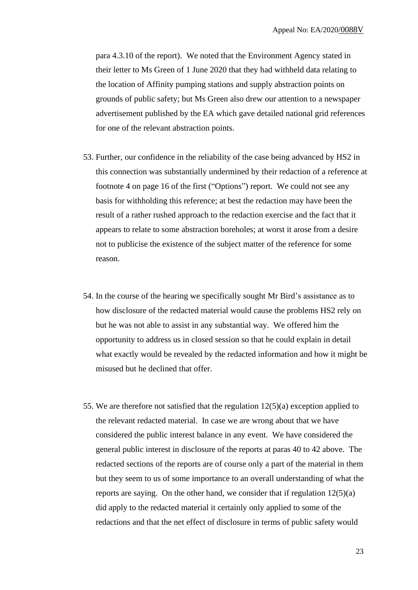para 4.3.10 of the report). We noted that the Environment Agency stated in their letter to Ms Green of 1 June 2020 that they had withheld data relating to the location of Affinity pumping stations and supply abstraction points on grounds of public safety; but Ms Green also drew our attention to a newspaper advertisement published by the EA which gave detailed national grid references for one of the relevant abstraction points.

- 53. Further, our confidence in the reliability of the case being advanced by HS2 in this connection was substantially undermined by their redaction of a reference at footnote 4 on page 16 of the first ("Options") report. We could not see any basis for withholding this reference; at best the redaction may have been the result of a rather rushed approach to the redaction exercise and the fact that it appears to relate to some abstraction boreholes; at worst it arose from a desire not to publicise the existence of the subject matter of the reference for some reason.
- 54. In the course of the hearing we specifically sought Mr Bird's assistance as to how disclosure of the redacted material would cause the problems HS2 rely on but he was not able to assist in any substantial way. We offered him the opportunity to address us in closed session so that he could explain in detail what exactly would be revealed by the redacted information and how it might be misused but he declined that offer.
- 55. We are therefore not satisfied that the regulation 12(5)(a) exception applied to the relevant redacted material. In case we are wrong about that we have considered the public interest balance in any event. We have considered the general public interest in disclosure of the reports at paras 40 to 42 above. The redacted sections of the reports are of course only a part of the material in them but they seem to us of some importance to an overall understanding of what the reports are saying. On the other hand, we consider that if regulation  $12(5)(a)$ did apply to the redacted material it certainly only applied to some of the redactions and that the net effect of disclosure in terms of public safety would